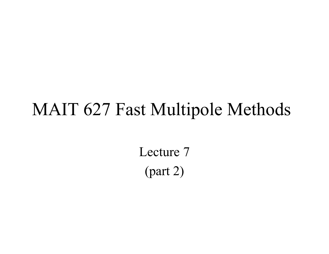# MAIT 627 Fast Multipole Methods

Lecture 7(part 2)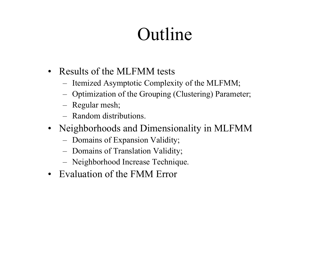# Outline

- Results of the MLFMM tests
	- –Itemized Asymptotic Complexity of the MLFMM;
	- –Optimization of the Grouping (Clustering) Parameter;
	- Regular mesh;
	- Random distributions.
- Neighborhoods and Dimensionality in MLFMM
	- –Domains of Expansion Validity;
	- –Domains of Translation Validity;
	- –Neighborhood Increase Technique.
- Evaluation of the FMM Error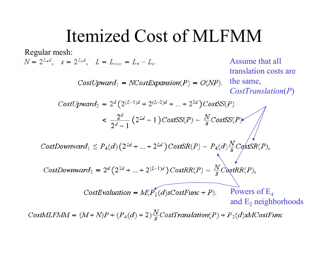# Itemized Cost of MLFMM

Regular mesh:<br> $N = 2^{L*d}$ ,  $s = 2^{L sd}$ ,  $L = L_{max} = L_* - L_s$ . Assume that all translation costs are the same,  $CostUpward_1 = NCostExpansion(P) = O(NP)$ . *CostTranslation* (*P* )  $CostUpward_2 = 2^d (2^{(L-1)d} + 2^{(L-2)d} + ... + 2^{2d}) CostSS(P)$  $\frac{2^d}{2^d-1} (2^{Ld}-1) CostSS(P) \sim \frac{N}{s} CostSS(P)$  $CostDownward_1 \leq P_4(d) (2^{2d} + ... + 2^{Ld}) CostSR(P) \sim P_4(d) \frac{N}{s} C \frac{1}{s}$ CostDownward<sub>2</sub> =  $2^d (2^{2d} + ... + 2^{(L-1)d}) CostRR(P) \sim \frac{N}{s} CostRR(P),$ CostEvaluation =  $M(P_2(d) sCostFunc + P)$ . Powers of  $\mathrm{E}_4$ and  $\mathrm{E}_\mathrm{2}$  neighborhoods

CostMLFMM =  $(M+N)P + (P_4(d)+2)\frac{N}{s}CostTranslation(P) + P_2(d)sMCostFunc$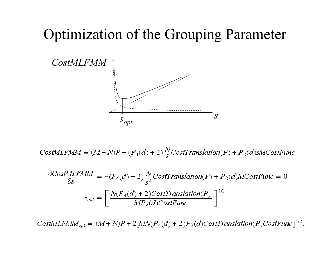#### **Optimization of the Grouping Parameter**



CostMLFMM =  $(M+N)P + (P_4(d)+2)\frac{N}{s}CostTranslation(P) + P_2(d)sMCostFunc$ 

$$
\frac{\partial CostMLFMM}{\partial s} = -(P_4(d) + 2)\frac{N}{s^2}CostTranslation(P) + P_2(d)MCostFunc = 0
$$

$$
s_{opt} = \left[\frac{N(P_4(d) + 2)CostTranslation(P)}{MP_2(d)CostFunc}\right]^{1/2}.
$$

CostMLFM $M_{opt} = (M+N)P + 2[MN(P_4(d) + 2)P_2(d)CostTransformation(P)CostFunc]^{1/2}$ .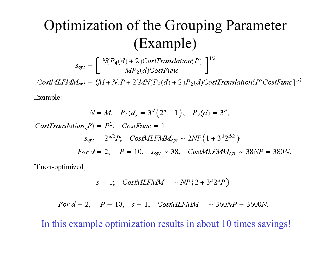## **Optimization of the Grouping Parameter** (Example)

 $s_{opt} = \left[ \frac{N(P_4(d) + 2)CostTranslation(P)}{MP_2(d) CostFunc} \right]^{1/2}.$ 

CostMLFM $M_{opt} = (M+N)P + 2[MN(P_4(d) + 2)P_2(d)CostTransformation(P)CostFunc]^{1/2}$ .

Example:

$$
N = M, \quad P_4(d) = 3^d (2^d - 1), \quad P_2(d) = 3^d,
$$
  
CostTranslation $(P) = P^2$ , CostFunc = 1  

$$
s_{opt} \sim 2^{d/2} P; \quad CostMLFMM_{opt} \sim 2NP(1 + 3^d 2^{d/2})
$$
  
For  $d = 2$ ,  $P = 10$ ,  $s_{opt} \sim 38$ , CostMLFMM\_{opt} \sim 38NP = 380N.

If non-optimized,

$$
s = 1; \quad CostMLFMM \quad \sim NP(2 + 3^d 2^d P)
$$

For  $d = 2$ ,  $P = 10$ ,  $s = 1$ ,  $CostMLFMM \sim 360NP = 3600N$ .

In this example optimization results in about 10 times savings!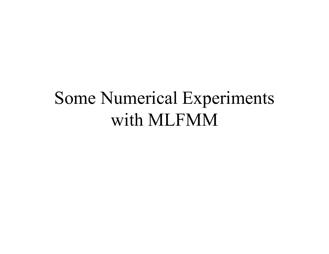# Some Numerical Experiments with MLFMM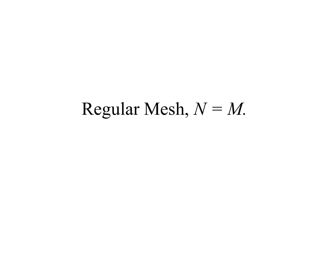# Regular Mesh,  $N = M$ .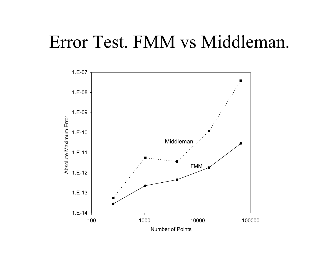### Error Test. FMM vs Middleman.

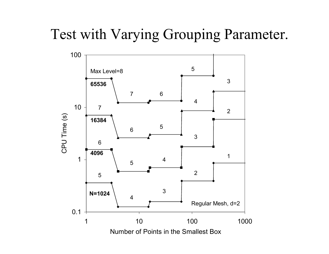#### Test with Varying Grouping Parameter.

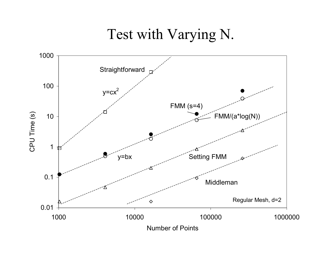#### Test with Varying N.

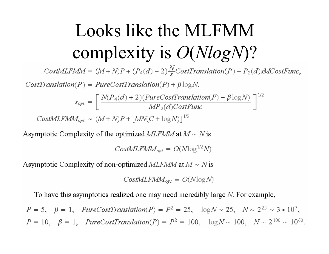# Looks like the MLFMM complexity is  $O(NlogN)$ ?

CostMLFMM =  $(M+N)P + (P_4(d)+2)\frac{N}{s}CostTranslation(P) + P_2(d)sMCostFunc,$ 

 $CostTranslation(P) = PureCostTranslation(P) + \beta \log N$ .

$$
s_{opt} = \left[ \frac{N(P_4(d) + 2)(PureCost Translation(P) + \beta \log N)}{MP_2(d)CostFunc} \right]^{1/2}
$$

 $CostMLFMM_{opt} \sim (M+N)P + [MN(C+\log N)]^{1/2}$ 

Asymptotic Complexity of the optimized MLFMM at  $M \sim N$  is

 $CostMLFMM_{opt} = O(N \log^{1/2} N)$ 

Asymptotic Complexity of non-optimized MLFMM at  $M \sim N$  is

 $CostMLFMM_{opt} = O(N \log N)$ 

To have this asymptotics realized one may need incredibly large  $N$ . For example,

 $P = 5$ ,  $\beta = 1$ ,  $PureCostTranslation(P) = P^2 = 25$ ,  $\log N \sim 25$ ,  $N \sim 2^{25} \sim 3 \cdot 10^7$ ,  $P = 10$ ,  $\beta = 1$ , PureCostTranslation(P) =  $P^2 = 100$ ,  $\log N \sim 100$ ,  $N \sim 2^{100} \sim 10^{60}$ .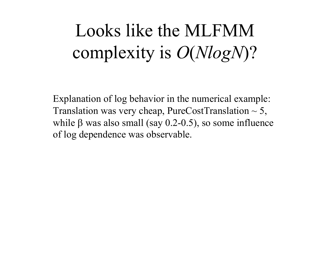# Looks like the MLFMM complexity is *O* (*NlogN*)?

Explanation of log behavior in the numerical example: Translation was very cheap, PureCostTranslation  $\sim$  5, while β was also small (say 0.2-0.5), so some influence of log dependence was observable.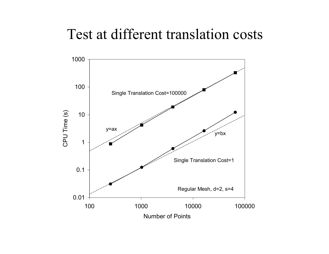#### Test at different translation costs

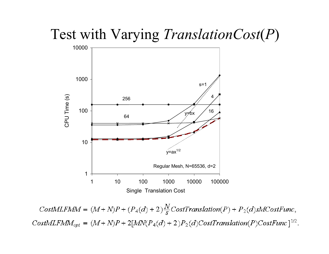#### Test with Varying *TranslationCost* (*P* )



CostMLFMM =  $(M+N)P + (P_4(d)+2)\frac{N}{s}CostTranslation(P) + P_2(d)sMCostFunc,$ CostMLFM $M_{opt} = (M+N)P + 2[MN(P_4(d)+2)P_2(d)Cost Translation(P)CostFunc]^{1/2}$ .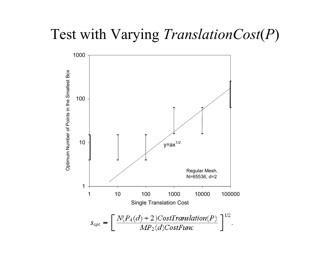#### Test with Varying *TranslationCost* (*P* )

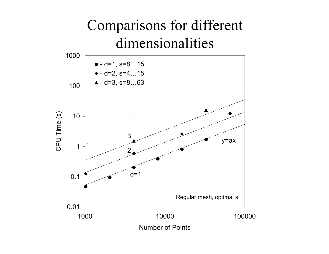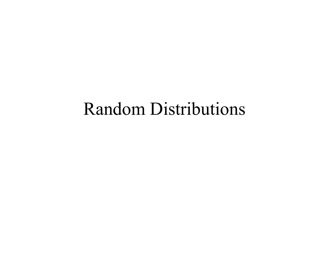# Random Distributions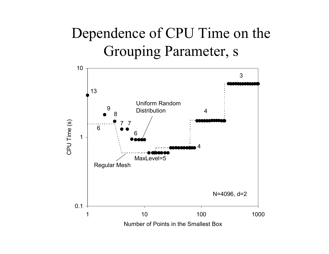### Dependence of CPU Time on the Grouping Parameter, s

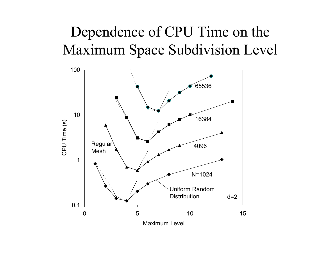### Dependence of CPU Time on the Maximum Space Subdivision Level

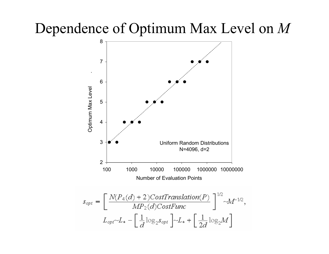#### Dependence of Optimum Max Level on *M*

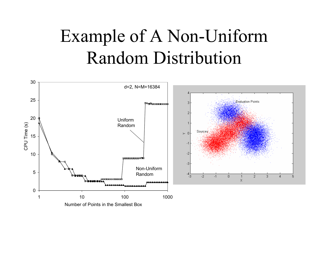# Example of A Non-Uniform Random Distribution

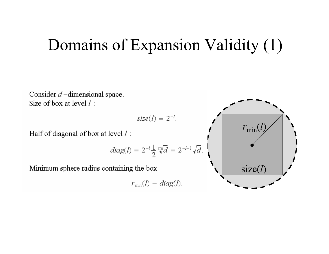### Domains of Expansion Validity (1)

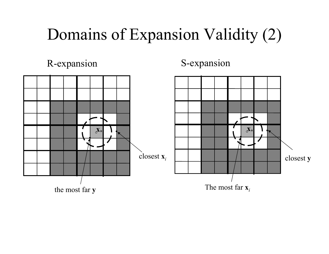# Domains of Expansion Validity (2)

R-expansion S-expansion

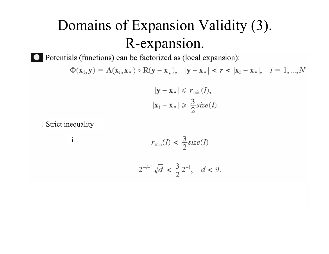### Domains of Expansion Validity (3). R-expansion.

O Potentials (functions) can be factorized as (local expansion):

$$
\Phi(\mathbf{x}_i, \mathbf{y}) = \mathbf{A}(\mathbf{x}_i, \mathbf{x}_*) \circ \mathbf{R}(\mathbf{y} - \mathbf{x}_*), \quad |\mathbf{y} - \mathbf{x}_*| < r < |\mathbf{x}_i - \mathbf{x}_*|, \quad i = 1, \dots, N
$$

$$
|\mathbf{x}_i - \mathbf{x}_*| \leqslant r_{\min}(\mathbf{x}),
$$
  

$$
|\mathbf{x}_i - \mathbf{x}_*| \geqslant \frac{3}{2} \text{size}(l).
$$

9.

Strict inequality

i 
$$
r_{min}(l) < \frac{3}{2} size(l)
$$
  
  $2^{-l-1} \sqrt{d} < \frac{3}{2} 2^{-l}, \quad d <$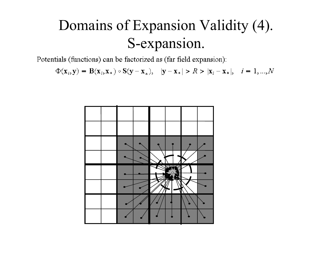### Domains of Expansion Validity (4). S-expansion.

Potentials (functions) can be factorized as (far field expansion):

 $\Phi(\mathbf{x}_i, \mathbf{y}) = \mathbf{B}(\mathbf{x}_i, \mathbf{x}_*) \circ \mathbf{S}(\mathbf{y} - \mathbf{x}_*)$ ,  $|\mathbf{y} - \mathbf{x}_*| > R > |\mathbf{x}_i - \mathbf{x}_*|$ ,  $i = 1, ..., N$ 

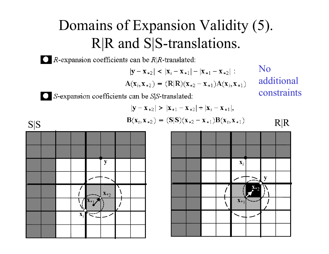### Domains of Expansion Validity (5). R|R and S|S-translations.

 $\bigcirc$  R-expansion coefficients can be R|R-translated:

 $|\mathbf{y}-\mathbf{x}_{*2}|$  <  $|\mathbf{x}_{i}-\mathbf{x}_{*1}|$  -  $|\mathbf{x}_{*1}-\mathbf{x}_{*2}|$ :  $A(x_i, x_{*2}) = (R|R)(x_{*2} - x_{*1})A(x_i, x_{*1})$  No additional constraints

 $\bigcirc$  S-expansion coefficients can be S|S-translated:

$$
|\mathbf{y} - \mathbf{x}_{*2}| > |\mathbf{x}_{*1} - \mathbf{x}_{*2}| + |\mathbf{x}_{i} - \mathbf{x}_{*1}|,
$$
  
\n
$$
B(\mathbf{x}_{i}, \mathbf{x}_{*2}) = (S|S)(\mathbf{x}_{*2} - \mathbf{x}_{*1})B(\mathbf{x}_{i}, \mathbf{x}_{*1})
$$



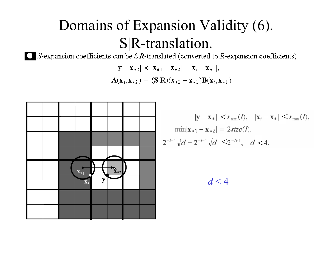### Domains of Expansion Validity (6). S|R-translation.

 $\Box$  S-expansion coefficients can be S|R-translated (converted to R-expansion coefficients)

$$
|\mathbf{y} - \mathbf{x}_{*2}| < |\mathbf{x}_{*1} - \mathbf{x}_{*2}| - |\mathbf{x}_{i} - \mathbf{x}_{*1}|,
$$
  

$$
A(\mathbf{x}_{i}, \mathbf{x}_{*2}) = (S|R)(\mathbf{x}_{*2} - \mathbf{x}_{*1})B(\mathbf{x}_{i}, \mathbf{x}_{*1})
$$



$$
|\mathbf{y} - \mathbf{x}_{*}| < r_{\min}(l), \quad |\mathbf{x}_{i} - \mathbf{x}_{*}| < r_{\min}(l),
$$
  
\n
$$
\min|\mathbf{x}_{*1} - \mathbf{x}_{*2}| = 2size(l).
$$
  
\n
$$
2^{-l-1}\sqrt{d} + 2^{-l-1}\sqrt{d} \le 2^{-l+1}, \quad d < 4.
$$

 $d < 4$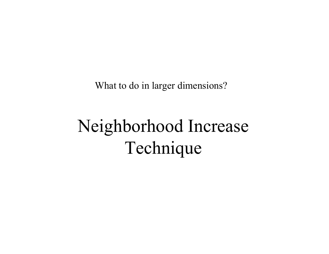What to do in larger dimensions?

# Neighborhood Increase Technique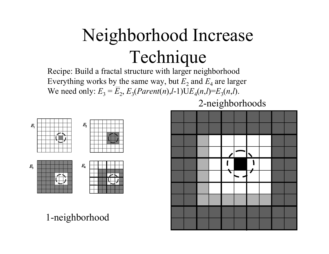# Neighborhood Increase Technique

Recipe: Build a fractal structure with larger neighborhood Everything works by the same way, but  $E_2$  and  $E_4$  are larger We need only:  $E_3 = E_2, E_3(Parent(n), l-1) \text{U} E_4(n, l) = E_3(n, l).$ 



1-neighborhood

2-neighborhoods

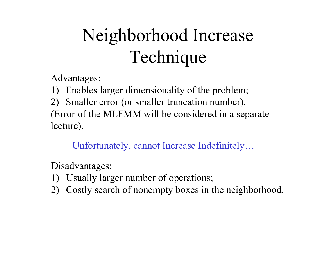# Neighborhood Increase Technique

Advantages:

1) Enables larger dimensionality of the problem;

2) Smaller error (or smaller truncation number). (Error of the MLFMM will be considered in a separate lecture).

Unfortunately, cannot Increase Indefinitely…

Disadvantages:

- 1) Usually larger number of operations;
- 2) Costly search of nonempty boxes in the neighborhood.